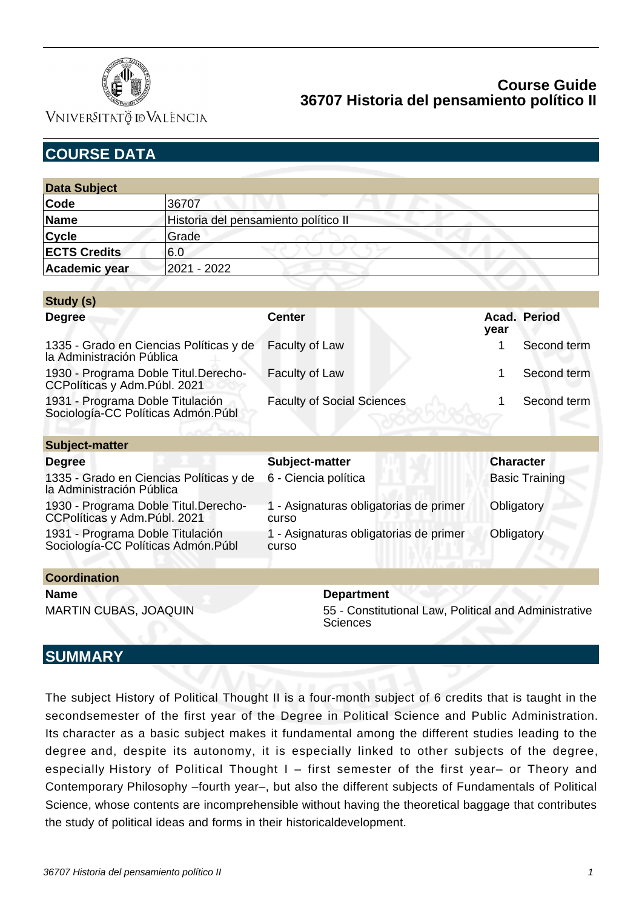

VNIVERSITATÖ ID VALÈNCIA

| <b>COURSE DATA</b>                                                      |                                      |                                                                          |                       |              |  |
|-------------------------------------------------------------------------|--------------------------------------|--------------------------------------------------------------------------|-----------------------|--------------|--|
|                                                                         |                                      |                                                                          |                       |              |  |
| <b>Data Subject</b>                                                     |                                      |                                                                          |                       |              |  |
| Code                                                                    | 36707                                |                                                                          |                       |              |  |
| <b>Name</b>                                                             | Historia del pensamiento político II |                                                                          |                       |              |  |
| <b>Cycle</b>                                                            | Grade                                |                                                                          |                       |              |  |
| <b>ECTS Credits</b>                                                     | 6.0                                  |                                                                          |                       |              |  |
| <b>Academic year</b>                                                    | 2021 - 2022                          |                                                                          |                       |              |  |
|                                                                         |                                      |                                                                          |                       |              |  |
| Study (s)                                                               |                                      |                                                                          |                       |              |  |
| <b>Degree</b>                                                           |                                      | <b>Center</b>                                                            | year                  | Acad. Period |  |
| 1335 - Grado en Ciencias Políticas y de<br>la Administración Pública    |                                      | <b>Faculty of Law</b>                                                    | 1                     | Second term  |  |
| 1930 - Programa Doble Titul.Derecho-<br>CCPolíticas y Adm.Públ. 2021    |                                      | Faculty of Law                                                           | 1                     | Second term  |  |
| 1931 - Programa Doble Titulación<br>Sociología-CC Políticas Admón. Públ |                                      | <b>Faculty of Social Sciences</b>                                        | 1                     | Second term  |  |
| <b>Subject-matter</b>                                                   |                                      |                                                                          |                       |              |  |
| <b>Degree</b>                                                           |                                      | Subject-matter                                                           | <b>Character</b>      |              |  |
| 1335 - Grado en Ciencias Políticas y de<br>la Administración Pública    |                                      | 6 - Ciencia política                                                     | <b>Basic Training</b> |              |  |
| 1930 - Programa Doble Titul.Derecho-<br>CCPolíticas y Adm.Públ. 2021    |                                      | 1 - Asignaturas obligatorias de primer<br>curso                          | Obligatory            |              |  |
| 1931 - Programa Doble Titulación<br>Sociología-CC Políticas Admón. Públ |                                      | 1 - Asignaturas obligatorias de primer<br>curso                          | Obligatory            |              |  |
| <b>Coordination</b>                                                     |                                      |                                                                          |                       |              |  |
| <b>Name</b>                                                             |                                      | <b>Department</b>                                                        |                       |              |  |
| <b>MARTIN CUBAS, JOAQUIN</b>                                            |                                      | 55 - Constitutional Law, Political and Administrative<br><b>Sciences</b> |                       |              |  |

## **SUMMARY**

The subject History of Political Thought II is a four-month subject of 6 credits that is taught in the secondsemester of the first year of the Degree in Political Science and Public Administration. Its character as a basic subject makes it fundamental among the different studies leading to the degree and, despite its autonomy, it is especially linked to other subjects of the degree, especially History of Political Thought I – first semester of the first year– or Theory and Contemporary Philosophy –fourth year–, but also the different subjects of Fundamentals of Political Science, whose contents are incomprehensible without having the theoretical baggage that contributes the study of political ideas and forms in their historicaldevelopment.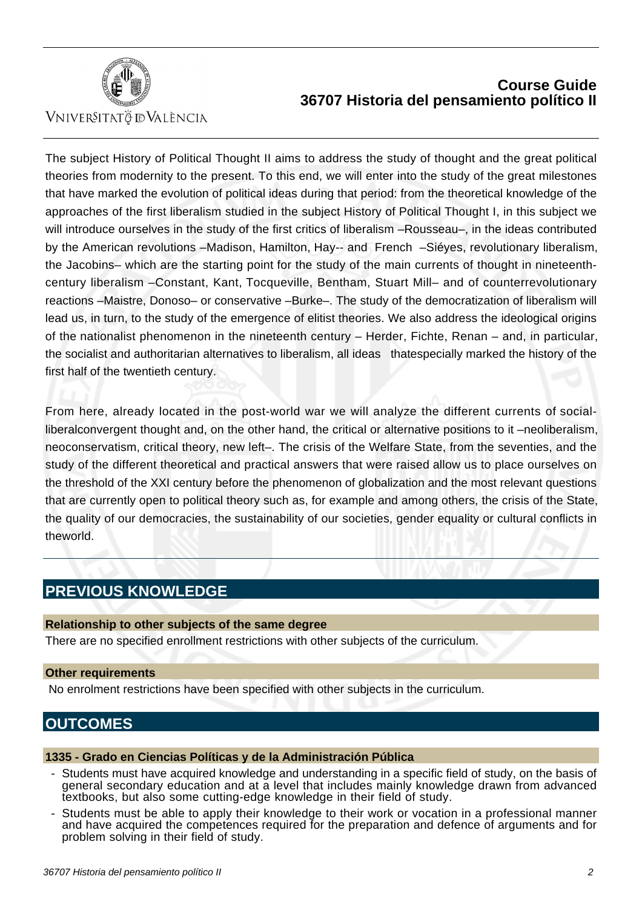

VNIVERSITATÖ IDVALÈNCIA

The subject History of Political Thought II aims to address the study of thought and the great political theories from modernity to the present. To this end, we will enter into the study of the great milestones that have marked the evolution of political ideas during that period: from the theoretical knowledge of the approaches of the first liberalism studied in the subject History of Political Thought I, in this subject we will introduce ourselves in the study of the first critics of liberalism –Rousseau–, in the ideas contributed by the American revolutions –Madison, Hamilton, Hay-- and French –Siéyes, revolutionary liberalism, the Jacobins– which are the starting point for the study of the main currents of thought in nineteenthcentury liberalism –Constant, Kant, Tocqueville, Bentham, Stuart Mill– and of counterrevolutionary reactions –Maistre, Donoso– or conservative –Burke–. The study of the democratization of liberalism will lead us, in turn, to the study of the emergence of elitist theories. We also address the ideological origins of the nationalist phenomenon in the nineteenth century – Herder, Fichte, Renan – and, in particular, the socialist and authoritarian alternatives to liberalism, all ideas thatespecially marked the history of the first half of the twentieth century.

From here, already located in the post-world war we will analyze the different currents of socialliberalconvergent thought and, on the other hand, the critical or alternative positions to it –neoliberalism, neoconservatism, critical theory, new left–. The crisis of the Welfare State, from the seventies, and the study of the different theoretical and practical answers that were raised allow us to place ourselves on the threshold of the XXI century before the phenomenon of globalization and the most relevant questions that are currently open to political theory such as, for example and among others, the crisis of the State, the quality of our democracies, the sustainability of our societies, gender equality or cultural conflicts in theworld.

# **PREVIOUS KNOWLEDGE**

#### **Relationship to other subjects of the same degree**

There are no specified enrollment restrictions with other subjects of the curriculum.

#### **Other requirements**

No enrolment restrictions have been specified with other subjects in the curriculum.

## **OUTCOMES**

#### **1335 - Grado en Ciencias Políticas y de la Administración Pública**

- Students must have acquired knowledge and understanding in a specific field of study, on the basis of general secondary education and at a level that includes mainly knowledge drawn from advanced textbooks, but also some cutting-edge knowledge in their field of study.
- Students must be able to apply their knowledge to their work or vocation in a professional manner and have acquired the competences required for the preparation and defence of arguments and for problem solving in their field of study.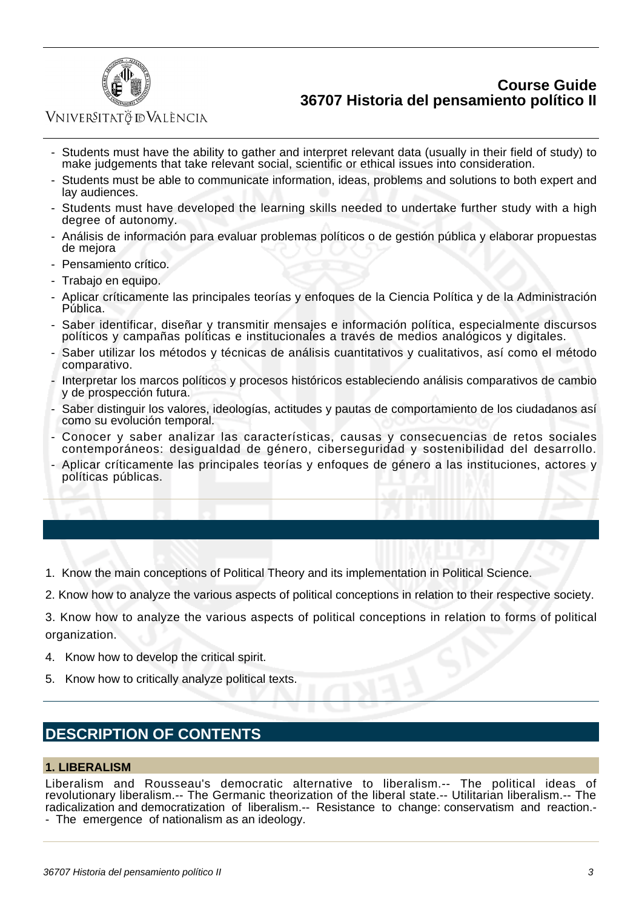

### VNIVERSITATÖ ID VALÈNCIA

- Students must have the ability to gather and interpret relevant data (usually in their field of study) to make judgements that take relevant social, scientific or ethical issues into consideration.
- Students must be able to communicate information, ideas, problems and solutions to both expert and lay audiences.
- Students must have developed the learning skills needed to undertake further study with a high degree of autonomy.
- Análisis de información para evaluar problemas políticos o de gestión pública y elaborar propuestas de mejora
- Pensamiento crítico.
- Trabajo en equipo.
- Aplicar críticamente las principales teorías y enfoques de la Ciencia Política y de la Administración Pública.
- Saber identificar, diseñar y transmitir mensajes e información política, especialmente discursos políticos y campañas políticas e institucionales a través de medios analógicos y digitales.
- Saber utilizar los métodos y técnicas de análisis cuantitativos y cualitativos, así como el método comparativo.
- Interpretar los marcos políticos y procesos históricos estableciendo análisis comparativos de cambio y de prospección futura.
- Saber distinguir los valores, ideologías, actitudes y pautas de comportamiento de los ciudadanos así como su evolución temporal.
- Conocer y saber analizar las características, causas y consecuencias de retos sociales contemporáneos: desigualdad de género, ciberseguridad y sostenibilidad del desarrollo.
- Aplicar críticamente las principales teorías y enfoques de género a las instituciones, actores y políticas públicas.
- 1. Know the main conceptions of Political Theory and its implementation in Political Science.
- 2. Know how to analyze the various aspects of political conceptions in relation to their respective society.

3. Know how to analyze the various aspects of political conceptions in relation to forms of political organization.

- 4. Know how to develop the critical spirit.
- 5. Know how to critically analyze political texts.

## **DESCRIPTION OF CONTENTS**

#### **1. LIBERALISM**

Liberalism and Rousseau's democratic alternative to liberalism.-- The political ideas of revolutionary liberalism.-- The Germanic theorization of the liberal state.-- Utilitarian liberalism.-- The radicalization and democratization of liberalism.-- Resistance to change: conservatism and reaction.- - The emergence of nationalism as an ideology.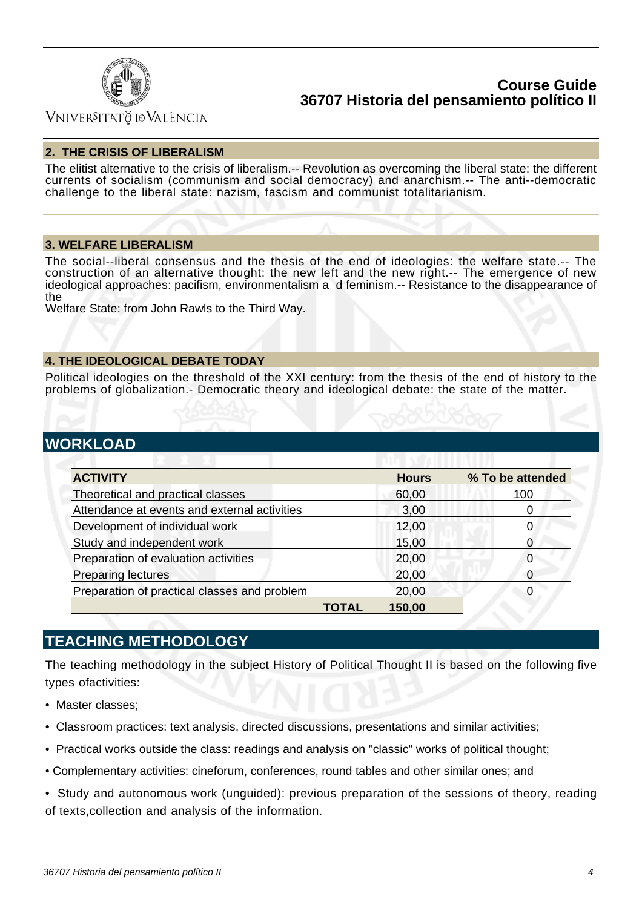

## **VNIVERSITATÖ IDVALÈNCIA**

#### **2. THE CRISIS OF LIBERALISM**

The elitist alternative to the crisis of liberalism.-- Revolution as overcoming the liberal state: the different currents of socialism (communism and social democracy) and anarchism.-- The anti--democratic challenge to the liberal state: nazism, fascism and communist totalitarianism.

#### **3. WELFARE LIBERALISM**

The social--liberal consensus and the thesis of the end of ideologies: the welfare state.-- The construction of an alternative thought: the new left and the new right.-- The emergence of new ideological approaches: pacifism, environmentalism a d feminism.-- Resistance to the disappearance of the

Welfare State: from John Rawls to the Third Way.

### **4. THE IDEOLOGICAL DEBATE TODAY**

Political ideologies on the threshold of the XXI century: from the thesis of the end of history to the problems of globalization.- Democratic theory and ideological debate: the state of the matter.

## **WORKLOAD**

| <b>ACTIVITY</b>                              | <b>Hours</b> | % To be attended |  |  |
|----------------------------------------------|--------------|------------------|--|--|
| Theoretical and practical classes            | 60,00        | 100              |  |  |
| Attendance at events and external activities | 3,00         |                  |  |  |
| Development of individual work               | 12,00        | 0                |  |  |
| Study and independent work                   | 15,00        | O                |  |  |
| Preparation of evaluation activities         | 20,00        | Ω                |  |  |
| <b>Preparing lectures</b>                    | 20,00        |                  |  |  |
| Preparation of practical classes and problem | 20,00        | $\Omega$         |  |  |
| TOTAL                                        | 150,00       |                  |  |  |

### **TEACHING METHODOLOGY**

The teaching methodology in the subject History of Political Thought II is based on the following five types ofactivities:

- Master classes;
- Classroom practices: text analysis, directed discussions, presentations and similar activities;
- Practical works outside the class: readings and analysis on "classic" works of political thought;
- Complementary activities: cineforum, conferences, round tables and other similar ones; and
- Study and autonomous work (unguided): previous preparation of the sessions of theory, reading of texts,collection and analysis of the information.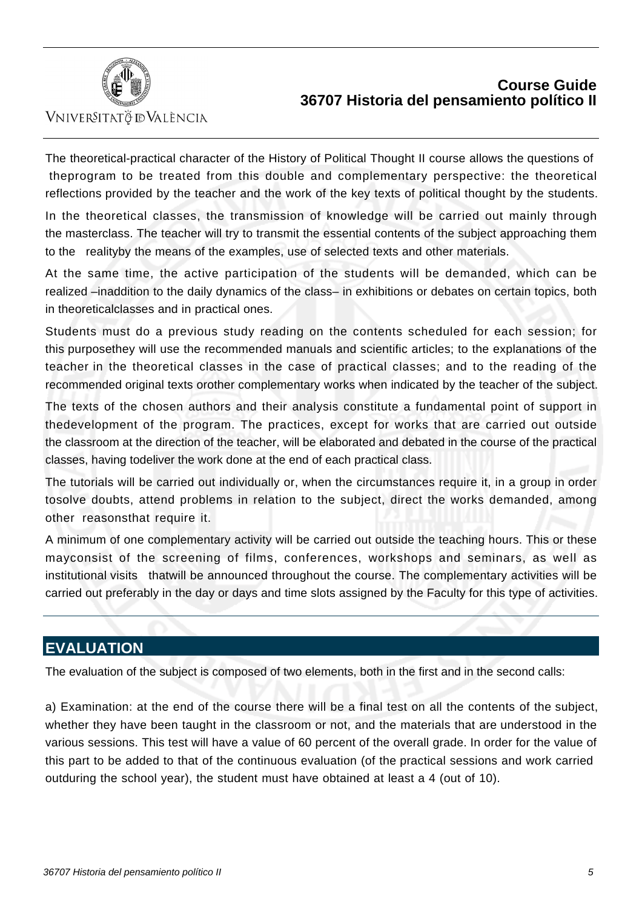

VNIVERSITATÖ ID VALÈNCIA

The theoretical-practical character of the History of Political Thought II course allows the questions of theprogram to be treated from this double and complementary perspective: the theoretical reflections provided by the teacher and the work of the key texts of political thought by the students.

In the theoretical classes, the transmission of knowledge will be carried out mainly through the masterclass. The teacher will try to transmit the essential contents of the subject approaching them to the realityby the means of the examples, use of selected texts and other materials.

At the same time, the active participation of the students will be demanded, which can be realized –inaddition to the daily dynamics of the class– in exhibitions or debates on certain topics, both in theoreticalclasses and in practical ones.

Students must do a previous study reading on the contents scheduled for each session; for this purposethey will use the recommended manuals and scientific articles; to the explanations of the teacher in the theoretical classes in the case of practical classes; and to the reading of the recommended original texts orother complementary works when indicated by the teacher of the subject.

The texts of the chosen authors and their analysis constitute a fundamental point of support in thedevelopment of the program. The practices, except for works that are carried out outside the classroom at the direction of the teacher, will be elaborated and debated in the course of the practical classes, having todeliver the work done at the end of each practical class.

The tutorials will be carried out individually or, when the circumstances require it, in a group in order tosolve doubts, attend problems in relation to the subject, direct the works demanded, among other reasonsthat require it.

A minimum of one complementary activity will be carried out outside the teaching hours. This or these mayconsist of the screening of films, conferences, workshops and seminars, as well as institutional visits thatwill be announced throughout the course. The complementary activities will be carried out preferably in the day or days and time slots assigned by the Faculty for this type of activities.

## **EVALUATION**

The evaluation of the subject is composed of two elements, both in the first and in the second calls:

a) Examination: at the end of the course there will be a final test on all the contents of the subject, whether they have been taught in the classroom or not, and the materials that are understood in the various sessions. This test will have a value of 60 percent of the overall grade. In order for the value of this part to be added to that of the continuous evaluation (of the practical sessions and work carried outduring the school year), the student must have obtained at least a 4 (out of 10).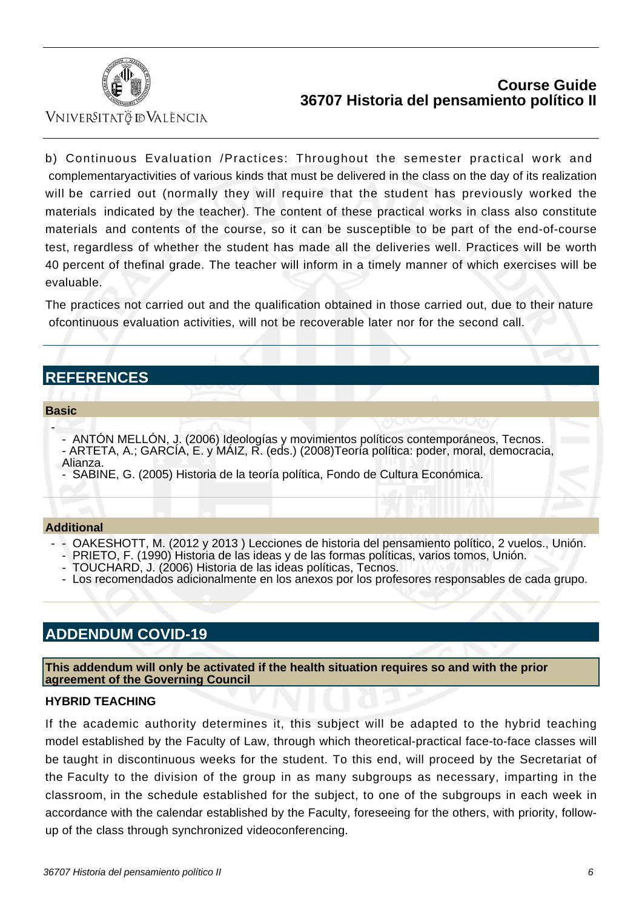

Vniver§itatğ dValència

b) Continuous Evaluation /Practices: Throughout the semester practical work and complementaryactivities of various kinds that must be delivered in the class on the day of its realization will be carried out (normally they will require that the student has previously worked the materials indicated by the teacher). The content of these practical works in class also constitute materials and contents of the course, so it can be susceptible to be part of the end-of-course test, regardless of whether the student has made all the deliveries well. Practices will be worth 40 percent of thefinal grade. The teacher will inform in a timely manner of which exercises will be evaluable.

The practices not carried out and the qualification obtained in those carried out, due to their nature ofcontinuous evaluation activities, will not be recoverable later nor for the second call.

# **REFERENCES**

#### **Basic**

-

- ANTÓN MELLÓN, J. (2006) Ideologías y movimientos políticos contemporáneos, Tecnos. - ARTETA, A.; GARCÍA, E. y MÁIZ, R. (eds.) (2008)Teoría política: poder, moral, democracia, Alianza.

- SABINE, G. (2005) Historia de la teoría política, Fondo de Cultura Económica.

#### **Additional**

- OAKESHOTT, M. (2012 y 2013) Lecciones de historia del pensamiento político, 2 vuelos., Unión.
- PRIETO, F. (1990) Historia de las ideas y de las formas políticas, varios tomos, Unión.
- TOUCHARD, J. (2006) Historia de las ideas políticas, Tecnos.
- Los recomendados adicionalmente en los anexos por los profesores responsables de cada grupo.

# **ADDENDUM COVID-19**

**This addendum will only be activated if the health situation requires so and with the prior agreement of the Governing Council**

### **HYBRID TEACHING**

If the academic authority determines it, this subject will be adapted to the hybrid teaching model established by the Faculty of Law, through which theoretical-practical face-to-face classes will be taught in discontinuous weeks for the student. To this end, will proceed by the Secretariat of the Faculty to the division of the group in as many subgroups as necessary, imparting in the classroom, in the schedule established for the subject, to one of the subgroups in each week in accordance with the calendar established by the Faculty, foreseeing for the others, with priority, followup of the class through synchronized videoconferencing.